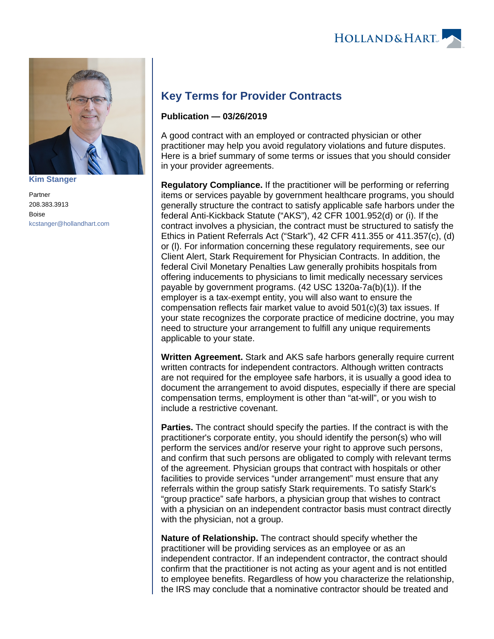



**[Kim Stanger](https://www.hollandhart.com/15954)**

Partner 208.383.3913 Boise [kcstanger@hollandhart.com](mailto:kcstanger@hollandhart.com)

## **Key Terms for Provider Contracts**

## **Publication — 03/26/2019**

A good contract with an employed or contracted physician or other practitioner may help you avoid regulatory violations and future disputes. Here is a brief summary of some terms or issues that you should consider in your provider agreements.

**Regulatory Compliance.** If the practitioner will be performing or referring items or services payable by government healthcare programs, you should generally structure the contract to satisfy applicable safe harbors under the federal Anti-Kickback Statute ("AKS"), 42 CFR 1001.952(d) or (i). If the contract involves a physician, the contract must be structured to satisfy the Ethics in Patient Referrals Act ("Stark"), 42 CFR 411.355 or 411.357(c), (d) or (l). For information concerning these regulatory requirements, see our Client Alert, Stark Requirement for Physician Contracts. In addition, the federal Civil Monetary Penalties Law generally prohibits hospitals from offering inducements to physicians to limit medically necessary services payable by government programs. (42 USC 1320a-7a(b)(1)). If the employer is a tax-exempt entity, you will also want to ensure the compensation reflects fair market value to avoid 501(c)(3) tax issues. If your state recognizes the corporate practice of medicine doctrine, you may need to structure your arrangement to fulfill any unique requirements applicable to your state.

**Written Agreement.** Stark and AKS safe harbors generally require current written contracts for independent contractors. Although written contracts are not required for the employee safe harbors, it is usually a good idea to document the arrangement to avoid disputes, especially if there are special compensation terms, employment is other than "at-will", or you wish to include a restrictive covenant.

**Parties.** The contract should specify the parties. If the contract is with the practitioner's corporate entity, you should identify the person(s) who will perform the services and/or reserve your right to approve such persons, and confirm that such persons are obligated to comply with relevant terms of the agreement. Physician groups that contract with hospitals or other facilities to provide services "under arrangement" must ensure that any referrals within the group satisfy Stark requirements. To satisfy Stark's "group practice" safe harbors, a physician group that wishes to contract with a physician on an independent contractor basis must contract directly with the physician, not a group.

**Nature of Relationship.** The contract should specify whether the practitioner will be providing services as an employee or as an independent contractor. If an independent contractor, the contract should confirm that the practitioner is not acting as your agent and is not entitled to employee benefits. Regardless of how you characterize the relationship, the IRS may conclude that a nominative contractor should be treated and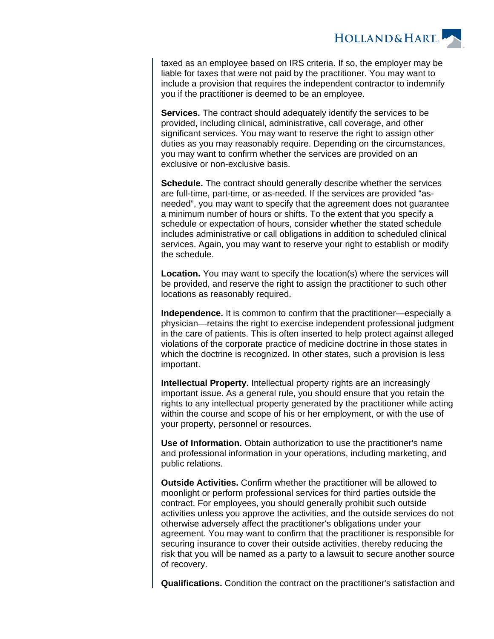

taxed as an employee based on IRS criteria. If so, the employer may be liable for taxes that were not paid by the practitioner. You may want to include a provision that requires the independent contractor to indemnify you if the practitioner is deemed to be an employee.

**Services.** The contract should adequately identify the services to be provided, including clinical, administrative, call coverage, and other significant services. You may want to reserve the right to assign other duties as you may reasonably require. Depending on the circumstances, you may want to confirm whether the services are provided on an exclusive or non-exclusive basis.

**Schedule.** The contract should generally describe whether the services are full-time, part-time, or as-needed. If the services are provided "asneeded", you may want to specify that the agreement does not guarantee a minimum number of hours or shifts. To the extent that you specify a schedule or expectation of hours, consider whether the stated schedule includes administrative or call obligations in addition to scheduled clinical services. Again, you may want to reserve your right to establish or modify the schedule.

**Location.** You may want to specify the location(s) where the services will be provided, and reserve the right to assign the practitioner to such other locations as reasonably required.

**Independence.** It is common to confirm that the practitioner—especially a physician—retains the right to exercise independent professional judgment in the care of patients. This is often inserted to help protect against alleged violations of the corporate practice of medicine doctrine in those states in which the doctrine is recognized. In other states, such a provision is less important.

**Intellectual Property.** Intellectual property rights are an increasingly important issue. As a general rule, you should ensure that you retain the rights to any intellectual property generated by the practitioner while acting within the course and scope of his or her employment, or with the use of your property, personnel or resources.

**Use of Information.** Obtain authorization to use the practitioner's name and professional information in your operations, including marketing, and public relations.

**Outside Activities.** Confirm whether the practitioner will be allowed to moonlight or perform professional services for third parties outside the contract. For employees, you should generally prohibit such outside activities unless you approve the activities, and the outside services do not otherwise adversely affect the practitioner's obligations under your agreement. You may want to confirm that the practitioner is responsible for securing insurance to cover their outside activities, thereby reducing the risk that you will be named as a party to a lawsuit to secure another source of recovery.

**Qualifications.** Condition the contract on the practitioner's satisfaction and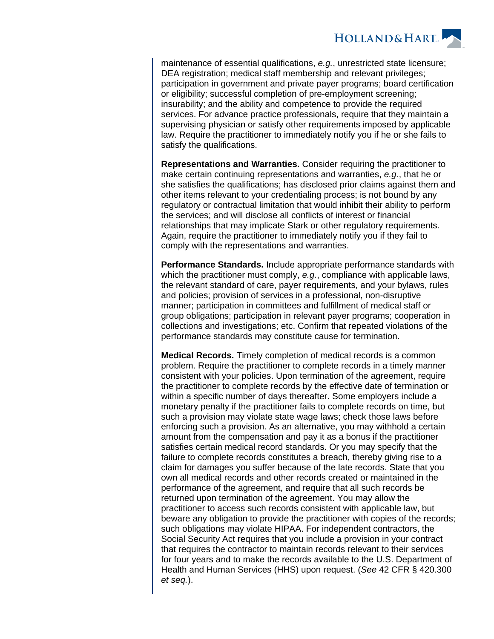

maintenance of essential qualifications, e.g., unrestricted state licensure; DEA registration; medical staff membership and relevant privileges; participation in government and private payer programs; board certification or eligibility; successful completion of pre-employment screening; insurability; and the ability and competence to provide the required services. For advance practice professionals, require that they maintain a supervising physician or satisfy other requirements imposed by applicable law. Require the practitioner to immediately notify you if he or she fails to satisfy the qualifications.

**Representations and Warranties.** Consider requiring the practitioner to make certain continuing representations and warranties, e.g., that he or she satisfies the qualifications; has disclosed prior claims against them and other items relevant to your credentialing process; is not bound by any regulatory or contractual limitation that would inhibit their ability to perform the services; and will disclose all conflicts of interest or financial relationships that may implicate Stark or other regulatory requirements. Again, require the practitioner to immediately notify you if they fail to comply with the representations and warranties.

**Performance Standards.** Include appropriate performance standards with which the practitioner must comply, e.g., compliance with applicable laws, the relevant standard of care, payer requirements, and your bylaws, rules and policies; provision of services in a professional, non-disruptive manner; participation in committees and fulfillment of medical staff or group obligations; participation in relevant payer programs; cooperation in collections and investigations; etc. Confirm that repeated violations of the performance standards may constitute cause for termination.

**Medical Records.** Timely completion of medical records is a common problem. Require the practitioner to complete records in a timely manner consistent with your policies. Upon termination of the agreement, require the practitioner to complete records by the effective date of termination or within a specific number of days thereafter. Some employers include a monetary penalty if the practitioner fails to complete records on time, but such a provision may violate state wage laws; check those laws before enforcing such a provision. As an alternative, you may withhold a certain amount from the compensation and pay it as a bonus if the practitioner satisfies certain medical record standards. Or you may specify that the failure to complete records constitutes a breach, thereby giving rise to a claim for damages you suffer because of the late records. State that you own all medical records and other records created or maintained in the performance of the agreement, and require that all such records be returned upon termination of the agreement. You may allow the practitioner to access such records consistent with applicable law, but beware any obligation to provide the practitioner with copies of the records; such obligations may violate HIPAA. For independent contractors, the Social Security Act requires that you include a provision in your contract that requires the contractor to maintain records relevant to their services for four years and to make the records available to the U.S. Department of Health and Human Services (HHS) upon request. (See 42 CFR § 420.300 et seq.).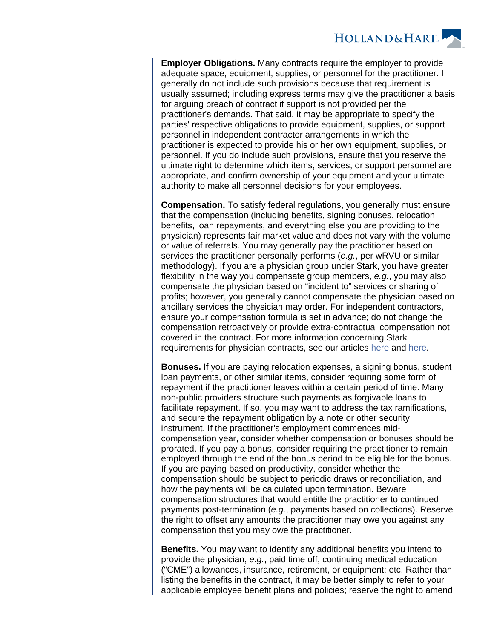

**Employer Obligations.** Many contracts require the employer to provide adequate space, equipment, supplies, or personnel for the practitioner. I generally do not include such provisions because that requirement is usually assumed; including express terms may give the practitioner a basis for arguing breach of contract if support is not provided per the practitioner's demands. That said, it may be appropriate to specify the parties' respective obligations to provide equipment, supplies, or support personnel in independent contractor arrangements in which the practitioner is expected to provide his or her own equipment, supplies, or personnel. If you do include such provisions, ensure that you reserve the ultimate right to determine which items, services, or support personnel are appropriate, and confirm ownership of your equipment and your ultimate authority to make all personnel decisions for your employees.

**Compensation.** To satisfy federal regulations, you generally must ensure that the compensation (including benefits, signing bonuses, relocation benefits, loan repayments, and everything else you are providing to the physician) represents fair market value and does not vary with the volume or value of referrals. You may generally pay the practitioner based on services the practitioner personally performs (e.g., per wRVU or similar methodology). If you are a physician group under Stark, you have greater flexibility in the way you compensate group members,  $e.g.,$  you may also compensate the physician based on "incident to" services or sharing of profits; however, you generally cannot compensate the physician based on ancillary services the physician may order. For independent contractors, ensure your compensation formula is set in advance; do not change the compensation retroactively or provide extra-contractual compensation not covered in the contract. For more information concerning Stark requirements for physician contracts, see our articles [here](https://www.hollandhart.com/stark-requirements-for-physician-contracts) and [here.](https://www.hollandhart.com/group-compensation-arrangements-stark-requirements)

**Bonuses.** If you are paying relocation expenses, a signing bonus, student loan payments, or other similar items, consider requiring some form of repayment if the practitioner leaves within a certain period of time. Many non-public providers structure such payments as forgivable loans to facilitate repayment. If so, you may want to address the tax ramifications, and secure the repayment obligation by a note or other security instrument. If the practitioner's employment commences midcompensation year, consider whether compensation or bonuses should be prorated. If you pay a bonus, consider requiring the practitioner to remain employed through the end of the bonus period to be eligible for the bonus. If you are paying based on productivity, consider whether the compensation should be subject to periodic draws or reconciliation, and how the payments will be calculated upon termination. Beware compensation structures that would entitle the practitioner to continued payments post-termination (e.g., payments based on collections). Reserve the right to offset any amounts the practitioner may owe you against any compensation that you may owe the practitioner.

**Benefits.** You may want to identify any additional benefits you intend to provide the physician, e.g., paid time off, continuing medical education ("CME") allowances, insurance, retirement, or equipment; etc. Rather than listing the benefits in the contract, it may be better simply to refer to your applicable employee benefit plans and policies; reserve the right to amend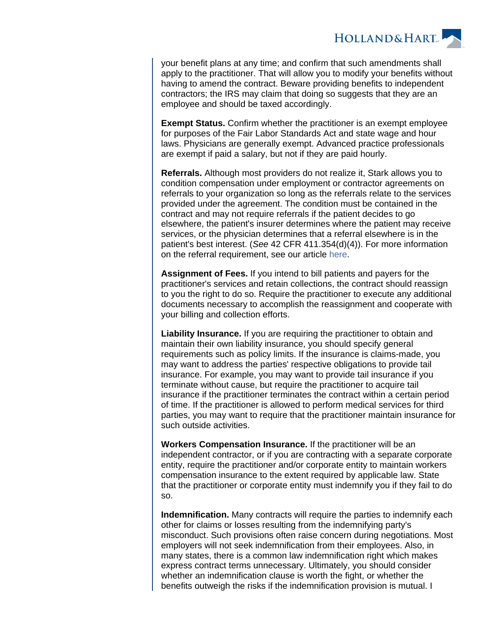

your benefit plans at any time; and confirm that such amendments shall apply to the practitioner. That will allow you to modify your benefits without having to amend the contract. Beware providing benefits to independent contractors; the IRS may claim that doing so suggests that they are an employee and should be taxed accordingly.

**Exempt Status.** Confirm whether the practitioner is an exempt employee for purposes of the Fair Labor Standards Act and state wage and hour laws. Physicians are generally exempt. Advanced practice professionals are exempt if paid a salary, but not if they are paid hourly.

**Referrals.** Although most providers do not realize it, Stark allows you to condition compensation under employment or contractor agreements on referrals to your organization so long as the referrals relate to the services provided under the agreement. The condition must be contained in the contract and may not require referrals if the patient decides to go elsewhere, the patient's insurer determines where the patient may receive services, or the physician determines that a referral elsewhere is in the patient's best interest. (See 42 CFR 411.354(d)(4)). For more information on the referral requirement, see our article [here](https://www.hollandhart.com/requiring-referrals-from-employees-and-contractors).

**Assignment of Fees.** If you intend to bill patients and payers for the practitioner's services and retain collections, the contract should reassign to you the right to do so. Require the practitioner to execute any additional documents necessary to accomplish the reassignment and cooperate with your billing and collection efforts.

**Liability Insurance.** If you are requiring the practitioner to obtain and maintain their own liability insurance, you should specify general requirements such as policy limits. If the insurance is claims-made, you may want to address the parties' respective obligations to provide tail insurance. For example, you may want to provide tail insurance if you terminate without cause, but require the practitioner to acquire tail insurance if the practitioner terminates the contract within a certain period of time. If the practitioner is allowed to perform medical services for third parties, you may want to require that the practitioner maintain insurance for such outside activities.

**Workers Compensation Insurance.** If the practitioner will be an independent contractor, or if you are contracting with a separate corporate entity, require the practitioner and/or corporate entity to maintain workers compensation insurance to the extent required by applicable law. State that the practitioner or corporate entity must indemnify you if they fail to do so.

**Indemnification.** Many contracts will require the parties to indemnify each other for claims or losses resulting from the indemnifying party's misconduct. Such provisions often raise concern during negotiations. Most employers will not seek indemnification from their employees. Also, in many states, there is a common law indemnification right which makes express contract terms unnecessary. Ultimately, you should consider whether an indemnification clause is worth the fight, or whether the benefits outweigh the risks if the indemnification provision is mutual. I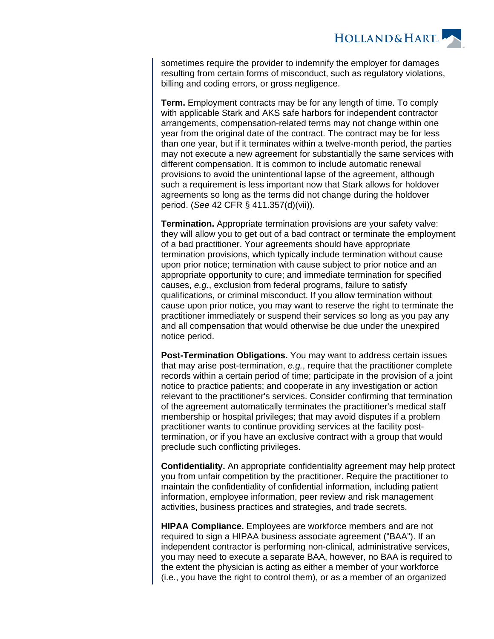

sometimes require the provider to indemnify the employer for damages resulting from certain forms of misconduct, such as regulatory violations, billing and coding errors, or gross negligence.

**Term.** Employment contracts may be for any length of time. To comply with applicable Stark and AKS safe harbors for independent contractor arrangements, compensation-related terms may not change within one year from the original date of the contract. The contract may be for less than one year, but if it terminates within a twelve-month period, the parties may not execute a new agreement for substantially the same services with different compensation. It is common to include automatic renewal provisions to avoid the unintentional lapse of the agreement, although such a requirement is less important now that Stark allows for holdover agreements so long as the terms did not change during the holdover period. (See 42 CFR § 411.357(d)(vii)).

**Termination.** Appropriate termination provisions are your safety valve: they will allow you to get out of a bad contract or terminate the employment of a bad practitioner. Your agreements should have appropriate termination provisions, which typically include termination without cause upon prior notice; termination with cause subject to prior notice and an appropriate opportunity to cure; and immediate termination for specified causes, e.g., exclusion from federal programs, failure to satisfy qualifications, or criminal misconduct. If you allow termination without cause upon prior notice, you may want to reserve the right to terminate the practitioner immediately or suspend their services so long as you pay any and all compensation that would otherwise be due under the unexpired notice period.

**Post-Termination Obligations.** You may want to address certain issues that may arise post-termination, e.g., require that the practitioner complete records within a certain period of time; participate in the provision of a joint notice to practice patients; and cooperate in any investigation or action relevant to the practitioner's services. Consider confirming that termination of the agreement automatically terminates the practitioner's medical staff membership or hospital privileges; that may avoid disputes if a problem practitioner wants to continue providing services at the facility posttermination, or if you have an exclusive contract with a group that would preclude such conflicting privileges.

**Confidentiality.** An appropriate confidentiality agreement may help protect you from unfair competition by the practitioner. Require the practitioner to maintain the confidentiality of confidential information, including patient information, employee information, peer review and risk management activities, business practices and strategies, and trade secrets.

**HIPAA Compliance.** Employees are workforce members and are not required to sign a HIPAA business associate agreement ("BAA"). If an independent contractor is performing non-clinical, administrative services, you may need to execute a separate BAA, however, no BAA is required to the extent the physician is acting as either a member of your workforce (i.e., you have the right to control them), or as a member of an organized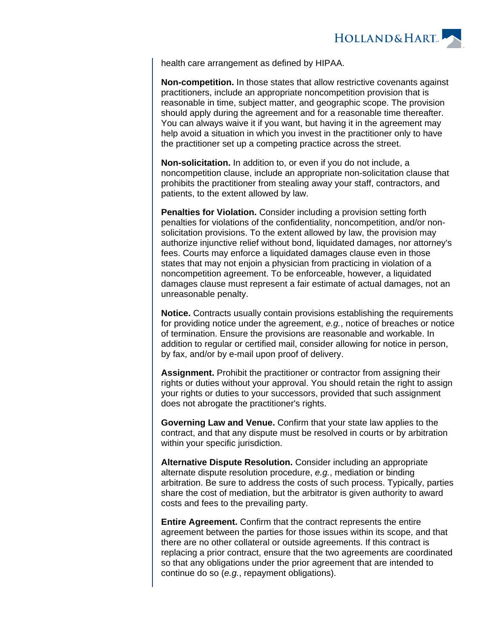

health care arrangement as defined by HIPAA.

**Non-competition.** In those states that allow restrictive covenants against practitioners, include an appropriate noncompetition provision that is reasonable in time, subject matter, and geographic scope. The provision should apply during the agreement and for a reasonable time thereafter. You can always waive it if you want, but having it in the agreement may help avoid a situation in which you invest in the practitioner only to have the practitioner set up a competing practice across the street.

**Non-solicitation.** In addition to, or even if you do not include, a noncompetition clause, include an appropriate non-solicitation clause that prohibits the practitioner from stealing away your staff, contractors, and patients, to the extent allowed by law.

**Penalties for Violation.** Consider including a provision setting forth penalties for violations of the confidentiality, noncompetition, and/or nonsolicitation provisions. To the extent allowed by law, the provision may authorize injunctive relief without bond, liquidated damages, nor attorney's fees. Courts may enforce a liquidated damages clause even in those states that may not enjoin a physician from practicing in violation of a noncompetition agreement. To be enforceable, however, a liquidated damages clause must represent a fair estimate of actual damages, not an unreasonable penalty.

**Notice.** Contracts usually contain provisions establishing the requirements for providing notice under the agreement, e.g., notice of breaches or notice of termination. Ensure the provisions are reasonable and workable. In addition to regular or certified mail, consider allowing for notice in person, by fax, and/or by e-mail upon proof of delivery.

**Assignment.** Prohibit the practitioner or contractor from assigning their rights or duties without your approval. You should retain the right to assign your rights or duties to your successors, provided that such assignment does not abrogate the practitioner's rights.

**Governing Law and Venue.** Confirm that your state law applies to the contract, and that any dispute must be resolved in courts or by arbitration within your specific jurisdiction.

**Alternative Dispute Resolution.** Consider including an appropriate alternate dispute resolution procedure, e.g., mediation or binding arbitration. Be sure to address the costs of such process. Typically, parties share the cost of mediation, but the arbitrator is given authority to award costs and fees to the prevailing party.

**Entire Agreement.** Confirm that the contract represents the entire agreement between the parties for those issues within its scope, and that there are no other collateral or outside agreements. If this contract is replacing a prior contract, ensure that the two agreements are coordinated so that any obligations under the prior agreement that are intended to continue do so (e.g., repayment obligations).